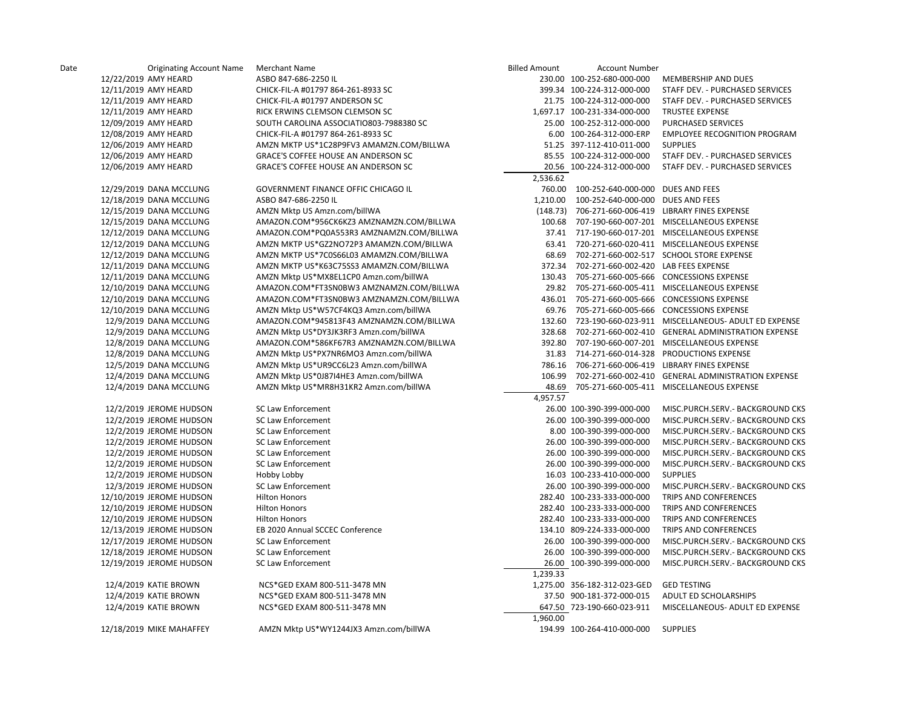| Date | <b>Originating Account Name</b> | Merchant Name                            | <b>Billed Amount</b> | <b>Account Number</b>                       |                                                            |
|------|---------------------------------|------------------------------------------|----------------------|---------------------------------------------|------------------------------------------------------------|
|      | 12/22/2019 AMY HEARD            | ASBO 847-686-2250 IL                     |                      | 230.00 100-252-680-000-000                  | MEMBERSHIP AND DUES                                        |
|      | 12/11/2019 AMY HEARD            | CHICK-FIL-A #01797 864-261-8933 SC       |                      | 399.34 100-224-312-000-000                  | STAFF DEV. - PURCHASED SERVICES                            |
|      | 12/11/2019 AMY HEARD            | CHICK-FIL-A #01797 ANDERSON SC           |                      | 21.75 100-224-312-000-000                   | STAFF DEV. - PURCHASED SERVICES                            |
|      | 12/11/2019 AMY HEARD            | RICK ERWINS CLEMSON CLEMSON SC           |                      | 1,697.17 100-231-334-000-000                | <b>TRUSTEE EXPENSE</b>                                     |
|      | 12/09/2019 AMY HEARD            | SOUTH CAROLINA ASSOCIATIO803-7988380 SC  |                      | 25.00 100-252-312-000-000                   | PURCHASED SERVICES                                         |
|      | 12/08/2019 AMY HEARD            | CHICK-FIL-A #01797 864-261-8933 SC       |                      | 6.00 100-264-312-000-ERP                    | <b>EMPLOYEE RECOGNITION PROGRAM</b>                        |
|      | 12/06/2019 AMY HEARD            | AMZN MKTP US*1C28P9FV3 AMAMZN.COM/BILLWA |                      | 51.25 397-112-410-011-000                   | <b>SUPPLIES</b>                                            |
|      | 12/06/2019 AMY HEARD            | GRACE'S COFFEE HOUSE AN ANDERSON SC      |                      | 85.55 100-224-312-000-000                   | STAFF DEV. - PURCHASED SERVICES                            |
|      | 12/06/2019 AMY HEARD            | GRACE'S COFFEE HOUSE AN ANDERSON SC      |                      | 20.56 100-224-312-000-000                   | STAFF DEV. - PURCHASED SERVICES                            |
|      |                                 |                                          | 2,536.62             |                                             |                                                            |
|      | 12/29/2019 DANA MCCLUNG         | GOVERNMENT FINANCE OFFIC CHICAGO IL      |                      | 760.00 100-252-640-000-000 DUES AND FEES    |                                                            |
|      | 12/18/2019 DANA MCCLUNG         | ASBO 847-686-2250 IL                     | 1,210.00             | 100-252-640-000-000 DUES AND FEES           |                                                            |
|      | 12/15/2019 DANA MCCLUNG         | AMZN Mktp US Amzn.com/billWA             |                      |                                             | (148.73) 706-271-660-006-419 LIBRARY FINES EXPENSE         |
|      | 12/15/2019 DANA MCCLUNG         | AMAZON.COM*956CK6KZ3 AMZNAMZN.COM/BILLWA |                      |                                             | 100.68 707-190-660-007-201 MISCELLANEOUS EXPENSE           |
|      | 12/12/2019 DANA MCCLUNG         | AMAZON.COM*PQ0A553R3 AMZNAMZN.COM/BILLWA |                      |                                             | 37.41 717-190-660-017-201 MISCELLANEOUS EXPENSE            |
|      | 12/12/2019 DANA MCCLUNG         | AMZN MKTP US*GZ2NO72P3 AMAMZN.COM/BILLWA |                      |                                             | 63.41 720-271-660-020-411 MISCELLANEOUS EXPENSE            |
|      | 12/12/2019 DANA MCCLUNG         | AMZN MKTP US*7C0S66L03 AMAMZN.COM/BILLWA |                      |                                             | 68.69 702-271-660-002-517 SCHOOL STORE EXPENSE             |
|      | 12/11/2019 DANA MCCLUNG         | AMZN MKTP US*K63C75SS3 AMAMZN.COM/BILLWA |                      | 372.34 702-271-660-002-420 LAB FEES EXPENSE |                                                            |
|      | 12/11/2019 DANA MCCLUNG         | AMZN Mktp US*MX8EL1CP0 Amzn.com/billWA   |                      |                                             | 130.43 705-271-660-005-666 CONCESSIONS EXPENSE             |
|      | 12/10/2019 DANA MCCLUNG         | AMAZON.COM*FT3SN0BW3 AMZNAMZN.COM/BILLWA |                      |                                             | 29.82 705-271-660-005-411 MISCELLANEOUS EXPENSE            |
|      | 12/10/2019 DANA MCCLUNG         | AMAZON.COM*FT3SN0BW3 AMZNAMZN.COM/BILLWA |                      |                                             | 436.01 705-271-660-005-666 CONCESSIONS EXPENSE             |
|      | 12/10/2019 DANA MCCLUNG         | AMZN Mktp US*W57CF4KQ3 Amzn.com/billWA   |                      |                                             | 69.76 705-271-660-005-666 CONCESSIONS EXPENSE              |
|      | 12/9/2019 DANA MCCLUNG          | AMAZON.COM*945813F43 AMZNAMZN.COM/BILLWA |                      |                                             | 132.60 723-190-660-023-911 MISCELLANEOUS- ADULT ED EXPENSE |
|      | 12/9/2019 DANA MCCLUNG          | AMZN Mktp US*DY3JK3RF3 Amzn.com/billWA   |                      |                                             | 328.68 702-271-660-002-410 GENERAL ADMINISTRATION EXPENSE  |
|      | 12/8/2019 DANA MCCLUNG          | AMAZON.COM*586KF67R3 AMZNAMZN.COM/BILLWA |                      |                                             | 392.80 707-190-660-007-201 MISCELLANEOUS EXPENSE           |
|      | 12/8/2019 DANA MCCLUNG          | AMZN Mktp US*PX7NR6MO3 Amzn.com/billWA   |                      |                                             | 31.83 714-271-660-014-328 PRODUCTIONS EXPENSE              |
|      | 12/5/2019 DANA MCCLUNG          | AMZN Mktp US*UR9CC6L23 Amzn.com/billWA   |                      |                                             | 786.16 706-271-660-006-419 LIBRARY FINES EXPENSE           |
|      | 12/4/2019 DANA MCCLUNG          | AMZN Mktp US*0J87I4HE3 Amzn.com/billWA   | 106.99               |                                             | 702-271-660-002-410 GENERAL ADMINISTRATION EXPENSE         |
|      | 12/4/2019 DANA MCCLUNG          | AMZN Mktp US*MR8H31KR2 Amzn.com/billWA   | 48.69                |                                             | 705-271-660-005-411 MISCELLANEOUS EXPENSE                  |
|      |                                 |                                          | 4,957.57             |                                             |                                                            |
|      | 12/2/2019 JEROME HUDSON         | SC Law Enforcement                       |                      | 26.00 100-390-399-000-000                   | MISC.PURCH.SERV.- BACKGROUND CKS                           |
|      | 12/2/2019 JEROME HUDSON         | <b>SC Law Enforcement</b>                |                      | 26.00 100-390-399-000-000                   | MISC.PURCH.SERV.- BACKGROUND CKS                           |
|      | 12/2/2019 JEROME HUDSON         | SC Law Enforcement                       |                      | 8.00 100-390-399-000-000                    | MISC.PURCH.SERV.- BACKGROUND CKS                           |
|      | 12/2/2019 JEROME HUDSON         | SC Law Enforcement                       |                      | 26.00 100-390-399-000-000                   | MISC.PURCH.SERV.- BACKGROUND CKS                           |
|      | 12/2/2019 JEROME HUDSON         | SC Law Enforcement                       |                      | 26.00 100-390-399-000-000                   | MISC.PURCH.SERV.- BACKGROUND CKS                           |
|      | 12/2/2019 JEROME HUDSON         | SC Law Enforcement                       |                      | 26.00 100-390-399-000-000                   | MISC.PURCH.SERV.- BACKGROUND CKS                           |
|      | 12/2/2019 JEROME HUDSON         | Hobby Lobby                              |                      | 16.03 100-233-410-000-000                   | <b>SUPPLIES</b>                                            |
|      | 12/3/2019 JEROME HUDSON         | SC Law Enforcement                       |                      | 26.00 100-390-399-000-000                   | MISC.PURCH.SERV.- BACKGROUND CKS                           |
|      | 12/10/2019 JEROME HUDSON        | <b>Hilton Honors</b>                     |                      | 282.40 100-233-333-000-000                  | TRIPS AND CONFERENCES                                      |
|      | 12/10/2019 JEROME HUDSON        | <b>Hilton Honors</b>                     |                      | 282.40 100-233-333-000-000                  | TRIPS AND CONFERENCES                                      |
|      | 12/10/2019 JEROME HUDSON        | <b>Hilton Honors</b>                     |                      | 282.40 100-233-333-000-000                  | TRIPS AND CONFERENCES                                      |
|      | 12/13/2019 JEROME HUDSON        | EB 2020 Annual SCCEC Conference          |                      | 134.10 809-224-333-000-000                  | TRIPS AND CONFERENCES                                      |
|      | 12/17/2019 JEROME HUDSON        | SC Law Enforcement                       |                      | 26.00 100-390-399-000-000                   | MISC.PURCH.SERV.- BACKGROUND CKS                           |
|      | 12/18/2019 JEROME HUDSON        | SC Law Enforcement                       |                      | 26.00 100-390-399-000-000                   | MISC.PURCH.SERV.- BACKGROUND CKS                           |
|      | 12/19/2019 JEROME HUDSON        | SC Law Enforcement                       |                      | 26.00 100-390-399-000-000                   | MISC.PURCH.SERV.- BACKGROUND CKS                           |
|      |                                 |                                          | 1.239.33             |                                             |                                                            |
|      | 12/4/2019 KATIE BROWN           | NCS*GED EXAM 800-511-3478 MN             |                      | 1,275.00 356-182-312-023-GED                | <b>GED TESTING</b>                                         |
|      | 12/4/2019 KATIE BROWN           | NCS*GED EXAM 800-511-3478 MN             |                      | 37.50 900-181-372-000-015                   | ADULT ED SCHOLARSHIPS                                      |
|      | 12/4/2019 KATIE BROWN           | NCS*GED EXAM 800-511-3478 MN             |                      | 647.50 723-190-660-023-911                  | MISCELLANEOUS- ADULT ED EXPENSE                            |
|      |                                 |                                          | 1,960.00             |                                             |                                                            |
|      | 12/18/2019 MIKE MAHAFFEY        | AMZN Mktp US*WY1244JX3 Amzn.com/billWA   |                      | 194.99 100-264-410-000-000                  | <b>SUPPLIES</b>                                            |
|      |                                 |                                          |                      |                                             |                                                            |